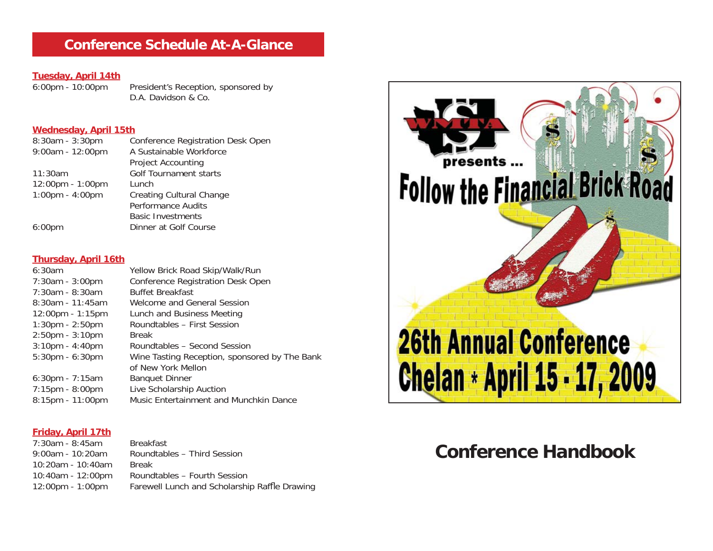## **Conference Schedule At-A-Glance**

# **Tuesday, April 14th**

President's Reception, sponsored by D.A. Davidson & Co.

#### **Wednesday, April 15th**

| $8:30am - 3:30pm$                  | Conference Registration Desk Open |
|------------------------------------|-----------------------------------|
| 9:00am - 12:00pm                   | A Sustainable Workforce           |
|                                    | <b>Project Accounting</b>         |
| 11:30am                            | Golf Tournament starts            |
| $12:00 \text{pm} - 1:00 \text{pm}$ | Lunch                             |
| $1:00 \text{pm} - 4:00 \text{pm}$  | <b>Creating Cultural Change</b>   |
|                                    | <b>Performance Audits</b>         |
|                                    | <b>Basic Investments</b>          |
| 6:00 <sub>pm</sub>                 | Dinner at Golf Course             |
|                                    |                                   |

#### **Thursday, April 16th**

| 6:30am                             | Yellow Brick Road Skip/Walk/Run               |
|------------------------------------|-----------------------------------------------|
| $7:30am - 3:00pm$                  | Conference Registration Desk Open             |
| $7:30am - 8:30am$                  | <b>Buffet Breakfast</b>                       |
| $8:30$ am - 11:45am                | Welcome and General Session                   |
| $12:00 \text{pm} - 1:15 \text{pm}$ | Lunch and Business Meeting                    |
| $1:30 \text{pm} - 2:50 \text{pm}$  | Roundtables - First Session                   |
| $2:50$ pm - $3:10$ pm              | <b>Break</b>                                  |
| $3:10$ pm - $4:40$ pm              | Roundtables - Second Session                  |
| $5:30$ pm - $6:30$ pm              | Wine Tasting Reception, sponsored by The Bank |
|                                    | of New York Mellon                            |
| $6:30$ pm - 7:15am                 | <b>Banquet Dinner</b>                         |
| $7:15$ pm - $8:00$ pm              | Live Scholarship Auction                      |
| 8:15pm - 11:00pm                   | Music Entertainment and Munchkin Dance        |
|                                    |                                               |

#### **Friday, April 17th**

7:30am - 8:45am Breakfast9:00am - 10:20am Roundtables – Third Session10:20am - 10:40am Break10:40am - 12:00pm Roundtables – Fourth Session 12:00pm - 1:00pm Farewell Lunch and Scholarship Raffle Drawing



# **Conference Handbook**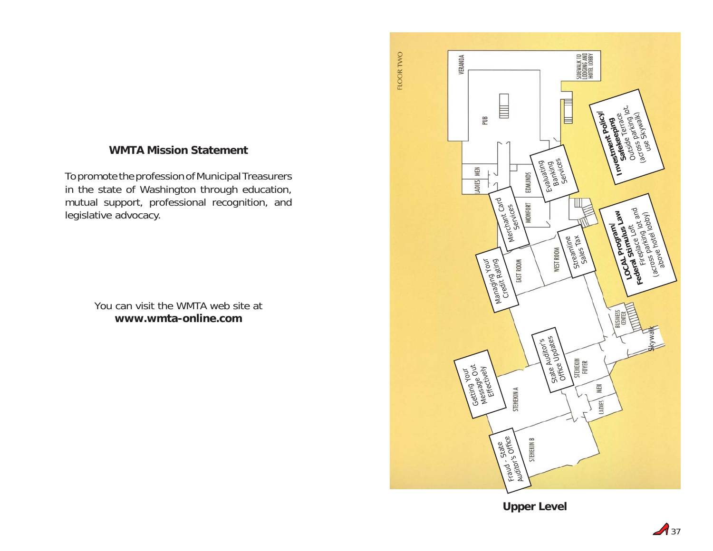## **WMTA Mission Statement**

To promote the profession of Municipal Treasurers in the state of Washington through education, mutual support, professional recognition, and legislative advocacy.

> You can visit the WMTA web site at**www.wmta-online.com**



**Upper Level**

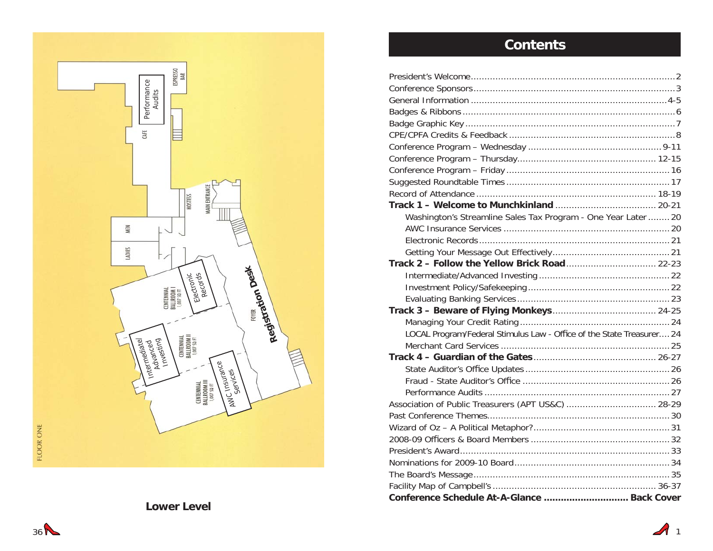

## **Contents**

| Washington's Streamline Sales Tax Program - One Year Later  20        |
|-----------------------------------------------------------------------|
|                                                                       |
|                                                                       |
|                                                                       |
| Track 2 - Follow the Yellow Brick Road 22-23                          |
|                                                                       |
|                                                                       |
|                                                                       |
|                                                                       |
|                                                                       |
| LOCAL Program/Federal Stimulus Law - Office of the State Treasurer 24 |
|                                                                       |
|                                                                       |
|                                                                       |
|                                                                       |
|                                                                       |
| Association of Public Treasurers (APT US&C)  28-29                    |
|                                                                       |
|                                                                       |
|                                                                       |
|                                                                       |
|                                                                       |
|                                                                       |
|                                                                       |
| Conference Schedule At-A-Glance  Back Cover                           |

**Lower Level**

1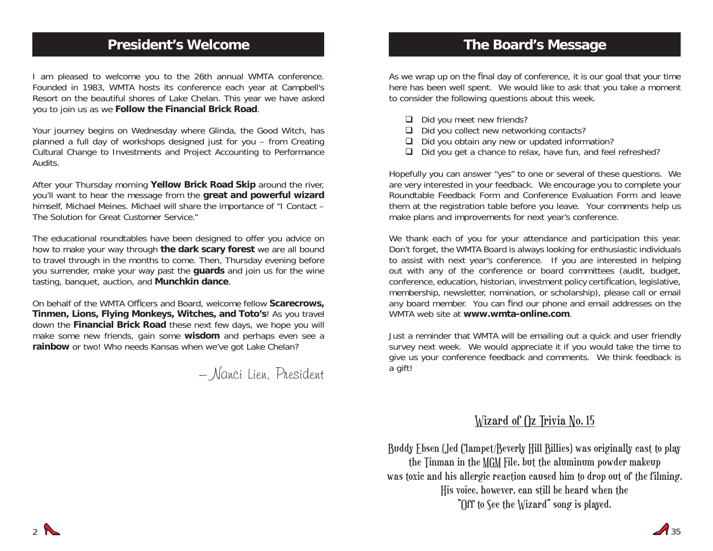## **President's Welcome**

I am pleased to welcome you to the 26th annual WMTA conference. Founded in 1983, WMTA hosts its conference each year at Campbell's Resort on the beautiful shores of Lake Chelan. This year we have asked you to join us as we **Follow the Financial Brick Road**.

Your journey begins on Wednesday where Glinda, the Good Witch, has planned a full day of workshops designed just for you – from Creating Cultural Change to Investments and Project Accounting to Performance Audits.

After your Thursday morning **Yellow Brick Road Skip** around the river, you'll want to hear the message from the **great and powerful wizard** himself, Michael Meines. Michael will share the importance of "I Contact – The Solution for Great Customer Service."

The educational roundtables have been designed to offer you advice on how to make your way through **the dark scary forest** we are all bound to travel through in the months to come. Then, Thursday evening before you surrender, make your way past the **guards** and join us for the wine tasting, banquet, auction, and **Munchkin dance**.

On behalf of the WMTA Officers and Board, welcome fellow **Scarecrows**, **Tinmen, Lions, Flying Monkeys, Witches, and Toto's**! As you travel down the **Financial Brick Road** these next few days, we hope you will make some new friends, gain some **wisdom** and perhaps even see a **rainbow** or two! Who needs Kansas when we've got Lake Chelan?

## – Nanci Lien, President

## **The Board's Message**

As we wrap up on the final day of conference, it is our goal that your time here has been well spent. We would like to ask that you take a moment to consider the following questions about this week.

- $\Box$  Did you meet new friends?
- $\Box$  Did you collect new networking contacts?
- $\Box$  Did you obtain any new or updated information?
- □ Did you get a chance to relax, have fun, and feel refreshed?

Hopefully you can answer "yes" to one or several of these questions. We are very interested in your feedback. We encourage you to complete your Roundtable Feedback Form and Conference Evaluation Form and leave them at the registration table before you leave. Your comments help us make plans and improvements for next year's conference.

We thank each of you for your attendance and participation this year. Don't forget, the WMTA Board is always looking for enthusiastic individuals to assist with next year's conference. If you are interested in helping out with any of the conference or board committees (audit, budget, conference, education, historian, investment policy certification, legislative, membership, newsletter, nomination, or scholarship), please call or email any board member. You can find our phone and email addresses on the WMTA web site at **www.wmta-online.com**.

Just a reminder that WMTA will be emailing out a quick and user friendly survey next week. We would appreciate it if you would take the time to give us your conference feedback and comments. We think feedback is a gift!

## Wizard of Oz Trivia No. 15

Buddy Ebsen (Jed Clampet/Beverly Hill Billies) was originally cast to play the Tinman in the MGM File, but the aluminum powder makeup was toxic and his allergic reaction caused him to drop out of the filming. His voice, however, can still be heard when the "Off to See the Wizard" song is played.

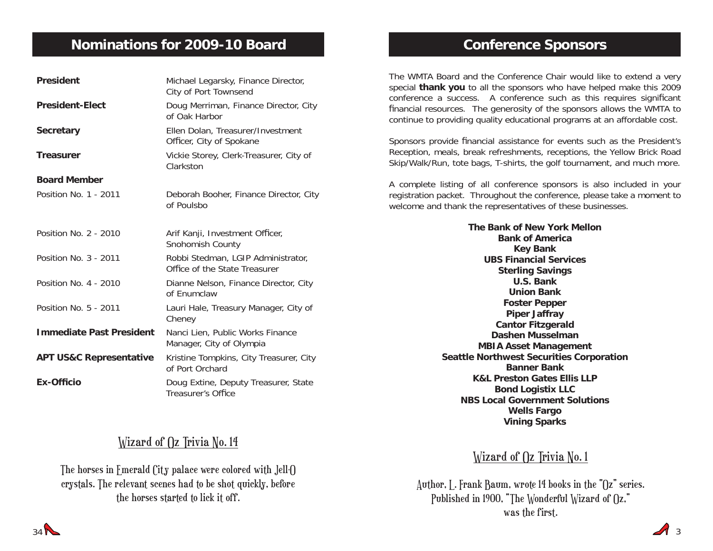## **Nominations for 2009-10 Board**

| <b>President</b>                   | Michael Legarsky, Finance Director,<br>City of Port Townsend        |
|------------------------------------|---------------------------------------------------------------------|
| <b>President-Elect</b>             | Doug Merriman, Finance Director, City<br>of Oak Harbor              |
| <b>Secretary</b>                   | Ellen Dolan, Treasurer/Investment<br>Officer, City of Spokane       |
| <b>Treasurer</b>                   | Vickie Storey, Clerk-Treasurer, City of<br>Clarkston                |
| <b>Board Member</b>                |                                                                     |
| Position No. 1 - 2011              | Deborah Booher, Finance Director, City<br>of Poulsbo                |
| Position No. 2 - 2010              | Arif Kanji, Investment Officer,<br>Snohomish County                 |
| Position No. 3 - 2011              | Robbi Stedman, LGIP Administrator,<br>Office of the State Treasurer |
| Position No. 4 - 2010              | Dianne Nelson, Finance Director, City<br>of Fnumclaw                |
| Position No. 5 - 2011              | Lauri Hale, Treasury Manager, City of<br>Cheney                     |
| <b>Immediate Past President</b>    | Nanci Lien, Public Works Finance<br>Manager, City of Olympia        |
| <b>APT US&amp;C Representative</b> | Kristine Tompkins, City Treasurer, City<br>of Port Orchard          |
| <b>Ex-Officio</b>                  | Doug Extine, Deputy Treasurer, State<br>Treasurer's Office          |

## Wizard of  $\Omega$  Trivia No. 14

The horses in Emerald City palace were colored with Jell-O crystals. The relevant scenes had to be shot quickly, before the horses started to lick it off.

## **Conference Sponsors**

The WMTA Board and the Conference Chair would like to extend a very special **thank you** to all the sponsors who have helped make this 2009 conference a success. A conference such as this requires significant financial resources. The generosity of the sponsors allows the WMTA to continue to providing quality educational programs at an affordable cost.

Sponsors provide financial assistance for events such as the President's Reception, meals, break refreshments, receptions, the Yellow Brick Road Skip/Walk/Run, tote bags, T-shirts, the golf tournament, and much more.

A complete listing of all conference sponsors is also included in your registration packet. Throughout the conference, please take a moment to welcome and thank the representatives of these businesses.

> **The Bank of New York MellonBank of AmericaKey Bank UBS Financial Services Sterling Savings U.S. BankUnion BankFoster Pepper Piper Jaffray Cantor Fitzgerald Dashen MusselmanMBIA Asset Management Seattle Northwest Securities Corporation Banner BankK&L Preston Gates Ellis LLPBond Logistix LLC NBS Local Government Solutions Wells Fargo Vining Sparks**

## Wizard of  $\int$ z Trivia No. 1

Author, L. Frank Baum, wrote 14 books in the "Oz" series. Published in 1900, "The Wonderful Wizard of  $\Omega$ ," was the first.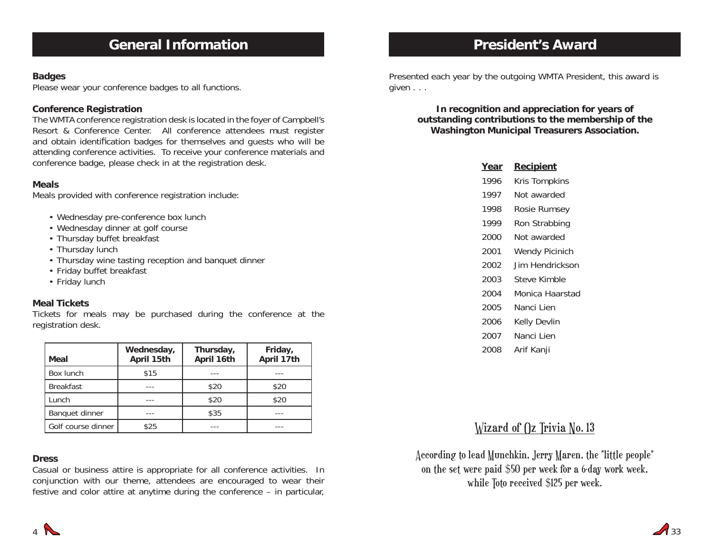#### **Badges**

Please wear your conference badges to all functions.

#### **Conference Registration**

The WMTA conference registration desk is located in the foyer of Campbell's Resort & Conference Center. All conference attendees must register and obtain identification badges for themselves and quests who will be attending conference activities. To receive your conference materials and conference badge, please check in at the registration desk.

#### **Meals**

Meals provided with conference registration include:

- Wednesday pre-conference box lunch
- Wednesday dinner at golf course
- Thursday buffet breakfast
- Thursday lunch
- Thursday wine tasting reception and banquet dinner
- Friday buffet breakfast
- Friday lunch

#### **Meal Tickets**

Tickets for meals may be purchased during the conference at the registration desk.

| Meal               | Wednesday,<br>April 15th | Thursday,<br>April 16th | Friday,<br>April 17th |
|--------------------|--------------------------|-------------------------|-----------------------|
| Box lunch          | \$15                     |                         |                       |
| <b>Breakfast</b>   |                          | \$20                    | \$20                  |
| Lunch              |                          | \$20                    | \$20                  |
| Banquet dinner     |                          | \$35                    |                       |
| Golf course dinner | \$25                     |                         |                       |

#### **Dress**

Casual or business attire is appropriate for all conference activities. In conjunction with our theme, attendees are encouraged to wear their festive and color attire at anytime during the conference – in particular,

## **President's Award**

Presented each year by the outgoing WMTA President, this award is given . . .

**In recognition and appreciation for years of outstanding contributions to the membership of the Washington Municipal Treasurers Association.**

| Year | <u>Recipient</u>      |
|------|-----------------------|
| 1996 | Kris Tompkins         |
| 1997 | Not awarded           |
| 1998 | Rosie Rumsey          |
| 1999 | Ron Strabbing         |
| 2000 | Not awarded           |
| 2001 | <b>Wendy Picinich</b> |
| 2002 | Jim Hendrickson       |
| 2003 | Steve Kimble          |
| 2004 | Monica Haarstad       |
| 2005 | Nanci I ien           |
| 2006 | Kelly Devlin          |
| 2007 | Nanci Lien            |
| 2008 | Arif Kanji            |
|      |                       |

## Wizard of  $\Omega$  Trivia No. 13

According to lead Munchkin, Jerry Maren, the "little people" on the set were paid \$50 per week for a 6-day work week, while Toto received \$125 per week.

4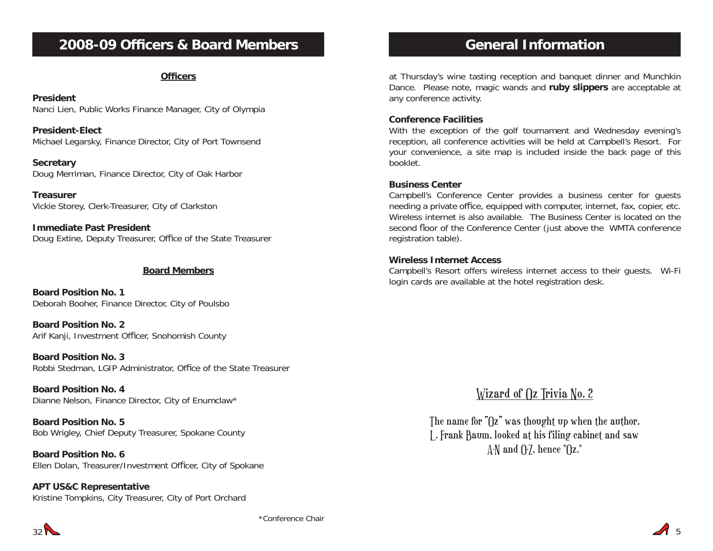## **2008-09 Officers & Board Members**

#### **Officers**

#### **President**

Nanci Lien, Public Works Finance Manager, City of Olympia

**President-Elect**Michael Legarsky, Finance Director, City of Port Townsend

**Secretary** Doug Merriman, Finance Director, City of Oak Harbor

**Treasurer**Vickie Storey, Clerk-Treasurer, City of Clarkston

**Immediate Past President**Doug Extine, Deputy Treasurer, Office of the State Treasurer

#### **Board Members**

**Board Position No. 1**Deborah Booher, Finance Director, City of Poulsbo

**Board Position No. 2**Arif Kanji, Investment Officer, Snohomish County

**Board Position No. 3**Robbi Stedman, LGIP Administrator, Office of the State Treasurer

**Board Position No. 4**Dianne Nelson, Finance Director, City of Enumclaw\*

**Board Position No. 5**Bob Wrigley, Chief Deputy Treasurer, Spokane County

**Board Position No. 6**Ellen Dolan, Treasurer/Investment Officer, City of Spokane

**APT US&C Representative** Kristine Tompkins, City Treasurer, City of Port Orchard

## **General Information**

at Thursday's wine tasting reception and banquet dinner and Munchkin Dance. Please note, magic wands and **ruby slippers** are acceptable at any conference activity.

#### **Conference Facilities**

With the exception of the golf tournament and Wednesday evening's reception, all conference activities will be held at Campbell's Resort. For your convenience, a site map is included inside the back page of this booklet.

#### **Business Center**

Campbell's Conference Center provides a business center for guests needing a private office, equipped with computer, internet, fax, copier, etc. Wireless internet is also available. The Business Center is located on the second floor of the Conference Center (just above the WMTA conference registration table).

#### **Wireless Internet Access**

Campbell's Resort offers wireless internet access to their guests. Wi-Fi login cards are available at the hotel registration desk.

Wizard of ()z Trivia No. 2

The name for "Oz" was thought up when the author, L. Frank Baum, looked at his filing cabinet and saw  $\Lambda$ -N and  $\Lambda$ -7, hence " $\Omega$ z."



 $A_{5}$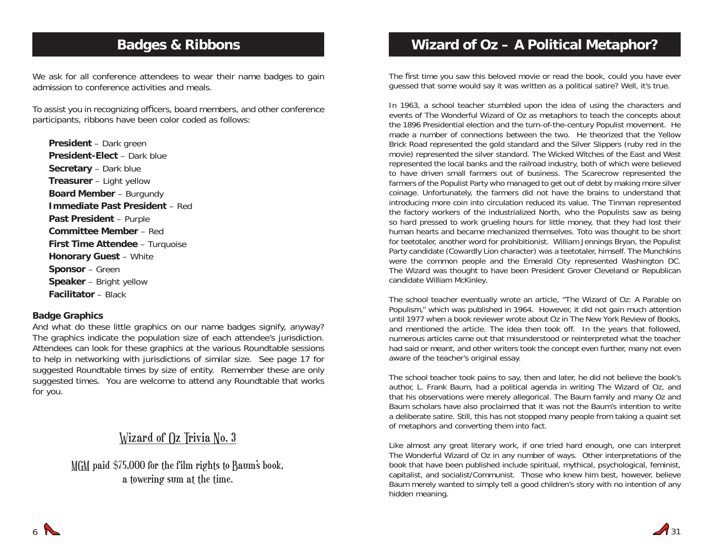## **Badges & Ribbons**

We ask for all conference attendees to wear their name badges to gain admission to conference activities and meals.

To assist you in recognizing officers, board members, and other conference participants, ribbons have been color coded as follows:

**President** – Dark green **President-Elect** – Dark blue**Secretary** – Dark blue **Treasurer** – Light yellow **Board Member** – Burgundy **Immediate Past President** – Red**Past President** – Purple **Committee Member** – Red**First Time Attendee** – Turquoise **Honorary Guest** – White **Sponsor** – Green **Speaker** – Bright yellow **Facilitator** – Black

#### **Badge Graphics**

And what do these little graphics on our name badges signify, anyway? The graphics indicate the population size of each attendee's jurisdiction. Attendees can look for these graphics at the various Roundtable sessions to help in networking with jurisdictions of similar size. See page 17 for suggested Roundtable times by size of entity. Remember these are only suggested times. You are welcome to attend any Roundtable that works for you.

## Wizard of  $\Omega$  Trivia No. 3

MGM paid \$75,000 for the film rights to Baum's book, a towering sum at the time.

## **Wizard of Oz – A Political Metaphor?**

The first time you saw this beloved movie or read the book, could you have ever guessed that some would say it was written as a political satire? Well, it's true.

In 1963, a school teacher stumbled upon the idea of using the characters and events of The Wonderful Wizard of Oz as metaphors to teach the concepts about the 1896 Presidential election and the turn-of-the-century Populist movement. He made a number of connections between the two. He theorized that the Yellow Brick Road represented the gold standard and the Silver Slippers (ruby red in the movie) represented the silver standard. The Wicked Witches of the East and West represented the local banks and the railroad industry, both of which were believed to have driven small farmers out of business. The Scarecrow represented the farmers of the Populist Party who managed to get out of debt by making more silver coinage. Unfortunately, the farmers did not have the brains to understand that introducing more coin into circulation reduced its value. The Tinman represented the factory workers of the industrialized North, who the Populists saw as being so hard pressed to work grueling hours for little money, that they had lost their human hearts and became mechanized themselves. Toto was thought to be short for teetotaler, another word for prohibitionist. William Jennings Bryan, the Populist Party candidate (Cowardly Lion character) was a teetotaler, himself. The Munchkins were the common people and the Emerald City represented Washington DC. The Wizard was thought to have been President Grover Cleveland or Republican candidate William McKinley.

The school teacher eventually wrote an article, "The Wizard of Oz: A Parable on Populism," which was published in 1964. However, it did not gain much attention until 1977 when a book reviewer wrote about Oz in The New York Review of Books, and mentioned the article. The idea then took off. In the years that followed, numerous articles came out that misunderstood or reinterpreted what the teacher had said or meant, and other writers took the concept even further, many not even aware of the teacher's original essay.

The school teacher took pains to say, then and later, he did not believe the book's author, L. Frank Baum, had a political agenda in writing The Wizard of Oz, and that his observations were merely allegorical. The Baum family and many Oz and Baum scholars have also proclaimed that it was not the Baum's intention to write a deliberate satire. Still, this has not stopped many people from taking a quaint set of metaphors and converting them into fact.

Like almost any great literary work, if one tried hard enough, one can interpret The Wonderful Wizard of Oz in any number of ways. Other interpretations of the book that have been published include spiritual, mythical, psychological, feminist, capitalist, and socialist/Communist. Those who knew him best, however, believe Baum merely wanted to simply tell a good children's story with no intention of any hidden meaning.

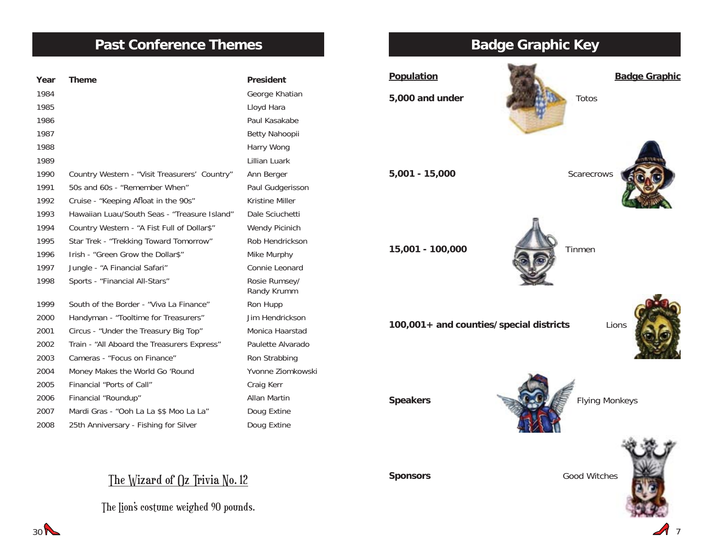## **Past Conference Themes**

| Year | <b>Theme</b>                                  | <b>President</b>             |
|------|-----------------------------------------------|------------------------------|
| 1984 |                                               | George Khatian               |
| 1985 |                                               | Lloyd Hara                   |
| 1986 |                                               | Paul Kasakabe                |
| 1987 |                                               | Betty Nahoopii               |
| 1988 |                                               | Harry Wong                   |
| 1989 |                                               | Lillian Luark                |
| 1990 | Country Western - "Visit Treasurers' Country" | Ann Berger                   |
| 1991 | 50s and 60s - "Remember When"                 | Paul Gudgerisson             |
| 1992 | Cruise - "Keeping Afloat in the 90s"          | Kristine Miller              |
| 1993 | Hawaiian Luau/South Seas - "Treasure Island"  | Dale Sciuchetti              |
| 1994 | Country Western - "A Fist Full of Dollar\$"   | Wendy Picinich               |
| 1995 | Star Trek - "Trekking Toward Tomorrow"        | Rob Hendrickson              |
| 1996 | Irish - "Green Grow the Dollar\$"             | Mike Murphy                  |
| 1997 | Jungle - "A Financial Safari"                 | Connie Leonard               |
| 1998 | Sports - "Financial All-Stars"                | Rosie Rumsey/<br>Randy Krumm |
| 1999 | South of the Border - "Viva La Finance"       | Ron Hupp                     |
| 2000 | Handyman - "Tooltime for Treasurers"          | Jim Hendrickson              |
| 2001 | Circus - "Under the Treasury Big Top"         | Monica Haarstad              |
| 2002 | Train - "All Aboard the Treasurers Express"   | Paulette Alvarado            |
| 2003 | Cameras - "Focus on Finance"                  | Ron Strabbing                |
| 2004 | Money Makes the World Go 'Round               | Yvonne Ziomkowski            |
| 2005 | Financial "Ports of Call"                     | Craig Kerr                   |
| 2006 | Financial "Roundup"                           | Allan Martin                 |
| 2007 | Mardi Gras - "Ooh La La \$\$ Moo La La"       | Doug Extine                  |
| 2008 | 25th Anniversary - Fishing for Silver         | Doug Extine                  |

## The Wizard of Oz Trivia No. 12

The Lion's costume weighed 90 pounds.

# **Population Badge Graphic 5,000 and under** Totos **5,001 - 15,000** Scarecrows **15,001 - 100,000** Tinmen **100,001+ and counties/special districts** Lions



**Sponsors Good Witches** 



 $30<sup>2</sup>$ 

# **Badge Graphic Key**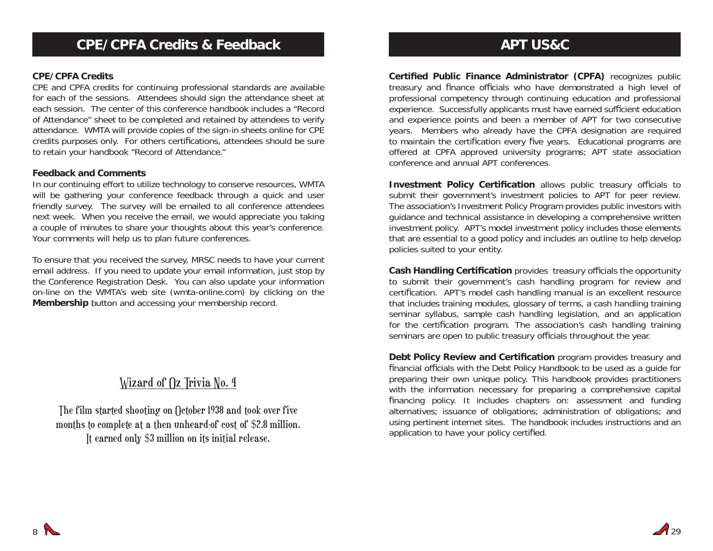#### **CPE/CPFA Credits**

CPE and CPFA credits for continuing professional standards are available for each of the sessions. Attendees should sign the attendance sheet at each session. The center of this conference handbook includes a "Record of Attendance" sheet to be completed and retained by attendees to verify attendance. WMTA will provide copies of the sign-in sheets online for CPE credits purposes only. For others certifications, attendees should be sure to retain your handbook "Record of Attendance."

#### **Feedback and Comments**

In our continuing effort to utilize technology to conserve resources, WMTA will be gathering your conference feedback through a quick and user friendly survey. The survey will be emailed to all conference attendees next week. When you receive the email, we would appreciate you taking a couple of minutes to share your thoughts about this year's conference. Your comments will help us to plan future conferences.

To ensure that you received the survey, MRSC needs to have your current email address. If you need to update your email information, just stop by the Conference Registration Desk. You can also update your information on-line on the WMTA's web site (wmta-online.com) by clicking on the **Membership** button and accessing your membership record.

## Wizard of  $\int$ z Trivia No. 4

The film started shooting on October 1938 and took over five months to complete at a then unheard-of cost of \$2.8 million. It earned only \$3 million on its initial release.

**Certified Public Finance Administrator (CPFA)** recognizes public treasury and finance officials who have demonstrated a high level of professional competency through continuing education and professional experience. Successfully applicants must have earned sufficient education and experience points and been a member of APT for two consecutive years. Members who already have the CPFA designation are required to maintain the certification every five years. Educational programs are offered at CPFA approved university programs; APT state association conference and annual APT conferences.

**Investment Policy Certification** allows public treasury officials to submit their government's investment policies to APT for peer review. The association's Investment Policy Program provides public investors with guidance and technical assistance in developing a comprehensive written investment policy. APT's model investment policy includes those elements that are essential to a good policy and includes an outline to help develop policies suited to your entity.

**Cash Handling Certification** provides treasury officials the opportunity to submit their government's cash handling program for review and certification. APT's model cash handling manual is an excellent resource that includes training modules, glossary of terms, a cash handling training seminar syllabus, sample cash handling legislation, and an application for the certification program. The association's cash handling training seminars are open to public treasury officials throughout the year.

**Debt Policy Review and Certification** program provides treasury and financial officials with the Debt Policy Handbook to be used as a quide for preparing their own unique policy. This handbook provides practitioners with the information necessary for preparing a comprehensive capital financing policy. It includes chapters on: assessment and funding alternatives; issuance of obligations; administration of obligations; and using pertinent internet sites. The handbook includes instructions and an application to have your policy certified.

29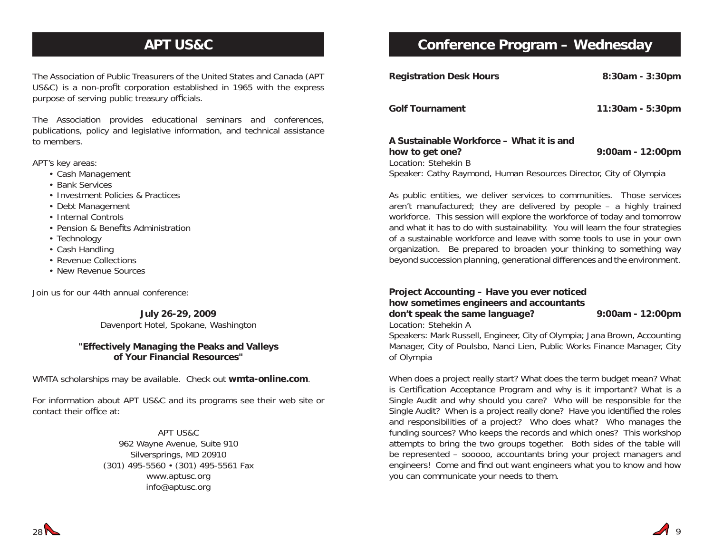## **APT US&C**

The Association of Public Treasurers of the United States and Canada (APT US&C) is a non-profit corporation established in 1965 with the express purpose of serving public treasury officials.

The Association provides educational seminars and conferences, publications, policy and legislative information, and technical assistance to members.

APT's key areas:

- Cash Management
- Bank Services
- Investment Policies & Practices
- Debt Management
- Internal Controls
- Pension & Benefits Administration
- Technology
- Cash Handling
- Revenue Collections
- New Revenue Sources

Join us for our 44th annual conference:

**July 26-29, 2009** Davenport Hotel, Spokane, Washington

#### **"Effectively Managing the Peaks and Valleys of Your Financial Resources"**

WMTA scholarships may be available. Check out **wmta-online.com**.

For information about APT US&C and its programs see their web site or contact their office at:

> APT US&C962 Wayne Avenue, Suite 910 Silversprings, MD 20910 (301) 495-5560 • (301) 495-5561 Fax www.aptusc.org info@aptusc.org

## **Conference Program – Wednesday**

| <b>Registration Desk Hours</b>                                                      | 8:30am - 3:30pm  |
|-------------------------------------------------------------------------------------|------------------|
| <b>Golf Tournament</b>                                                              | 11:30am - 5:30pm |
| A Sustainable Workforce – What it is and<br>how to get one?<br>Location: Stehekin B | 9:00am - 12:00pm |

Speaker: Cathy Raymond, Human Resources Director, City of Olympia

As public entities, we deliver services to communities. Those services aren't manufactured; they are delivered by people – a highly trained workforce. This session will explore the workforce of today and tomorrow and what it has to do with sustainability. You will learn the four strategies of a sustainable workforce and leave with some tools to use in your own organization. Be prepared to broaden your thinking to something way beyond succession planning, generational differences and the environment.

**Project Accounting – Have you ever noticed how sometimes engineers and accountants don't speak the same language? 9:00am - 12:00pm** Location: Stehekin A

Speakers: Mark Russell, Engineer, City of Olympia; Jana Brown, Accounting Manager, City of Poulsbo, Nanci Lien, Public Works Finance Manager, City of Olympia

When does a project really start? What does the term budget mean? What is Certification Acceptance Program and why is it important? What is a Single Audit and why should you care? Who will be responsible for the Single Audit? When is a project really done? Have you identified the roles and responsibilities of a project? Who does what? Who manages the funding sources? Who keeps the records and which ones? This workshop attempts to bring the two groups together. Both sides of the table will be represented – sooooo, accountants bring your project managers and engineers! Come and find out want engineers what you to know and how you can communicate your needs to them.

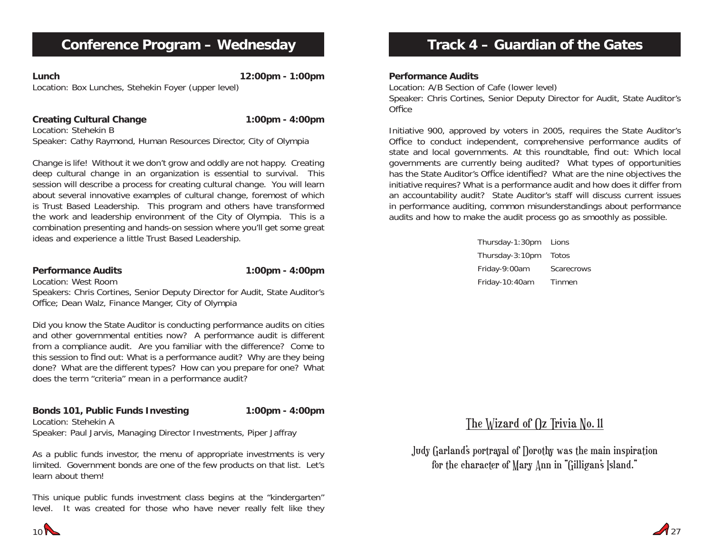## **Conference Program – Wednesday**

**Lunch 12:00pm - 1:00pm** Location: Box Lunches, Stehekin Foyer (upper level)

**Creating Cultural Change 1:00pm - 4:00pm** Location: Stehekin BSpeaker: Cathy Raymond, Human Resources Director, City of Olympia

Change is life! Without it we don't grow and oddly are not happy. Creating deep cultural change in an organization is essential to survival. This session will describe a process for creating cultural change. You will learn about several innovative examples of cultural change, foremost of which is Trust Based Leadership. This program and others have transformed the work and leadership environment of the City of Olympia. This is a combination presenting and hands-on session where you'll get some great ideas and experience a little Trust Based Leadership.

#### **Performance Audits** 1:00pm - 4:00pm Location: West Room

Speakers: Chris Cortines, Senior Deputy Director for Audit, State Auditor's Office; Dean Walz, Finance Manger, City of Olympia

Did you know the State Auditor is conducting performance audits on cities and other governmental entities now? A performance audit is different from a compliance audit. Are you familiar with the difference? Come to this session to find out: What is a performance audit? Why are they being done? What are the different types? How can you prepare for one? What does the term "criteria" mean in a performance audit?

#### **Bonds 101, Public Funds Investing 1:00pm - 4:00pm** Location: Stehekin A

Speaker: Paul Jarvis, Managing Director Investments, Piper Jaffray

As a public funds investor, the menu of appropriate investments is very limited. Government bonds are one of the few products on that list. Let's learn about them!

This unique public funds investment class begins at the "kindergarten" level. It was created for those who have never really felt like they

# **Track 4 – Guardian of the Gates**

#### **Performance Audits**

Location: A/B Section of Cafe (lower level) Speaker: Chris Cortines, Senior Deputy Director for Audit, State Auditor's Office

Initiative 900, approved by voters in 2005, requires the State Auditor's Office to conduct independent, comprehensive performance audits of state and local governments. At this roundtable, find out: Which local governments are currently being audited? What types of opportunities has the State Auditor's Office identified? What are the nine objectives the initiative requires? What is a performance audit and how does it differ from an accountability audit? State Auditor's staff will discuss current issues in performance auditing, common misunderstandings about performance audits and how to make the audit process go as smoothly as possible.

> Thursday-1:30pm Lions Thursday-3:10pm Totos Friday-9:00am Scarecrows Friday-10:40am Tinmen

# The Wizard of Oz Trivia No. 11

Judy Garland's portrayal of Dorothy was the main inspiration for the character of Mary Ann in "Gilligan's Island."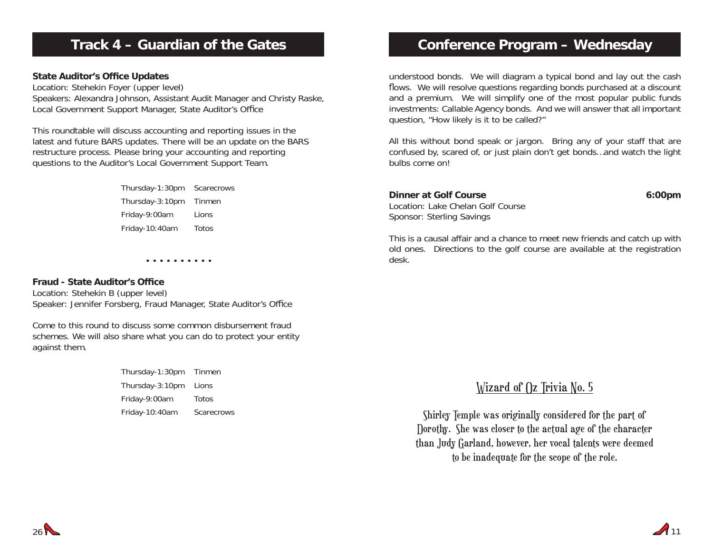## **Track 4 – Guardian of the Gates**

#### **State Auditor's Office Updates**

Location: Stehekin Foyer (upper level) Speakers: Alexandra Johnson, Assistant Audit Manager and Christy Raske, Local Government Support Manager, State Auditor's Office

This roundtable will discuss accounting and reporting issues in the latest and future BARS updates. There will be an update on the BARS restructure process. Please bring your accounting and reporting questions to the Auditor's Local Government Support Team.

> Thursday-1:30pm Scarecrows Thursday-3:10pm Tinmen Friday-9:00am Lions Friday-10:40am Totos

> > • • • • • • • • • •

#### **Fraud - State Auditor's Office**

Location: Stehekin B (upper level) Speaker: Jennifer Forsberg, Fraud Manager, State Auditor's Office

Come to this round to discuss some common disbursement fraud schemes. We will also share what you can do to protect your entity against them.

| Thursday-1:30pm | Tinmen     |
|-----------------|------------|
| Thursday-3:10pm | Lions      |
| Friday-9:00am   | Totos      |
| Friday-10:40am  | Scarecrows |

## **Conference Program – Wednesday**

understood bonds. We will diagram a typical bond and lay out the cash flows. We will resolve questions regarding bonds purchased at a discount and a premium. We will simplify one of the most popular public funds investments: Callable Agency bonds. And we will answer that all important question, "How likely is it to be called?"

All this without bond speak or jargon. Bring any of your staff that are confused by, scared of, or just plain don't get bonds…and watch the light bulbs come on!

#### **Dinner at Golf Course 6:00pm** Location: Lake Chelan Golf CourseSponsor: Sterling Savings

This is a causal affair and a chance to meet new friends and catch up with old ones. Directions to the golf course are available at the registration desk.

## Wizard of  $\int$ z Trivia No. 5

Shirley Temple was originally considered for the part of Dorothy. She was closer to the actual age of the character than Judy Garland, however, her vocal talents were deemed to be inadequate for the scope of the role.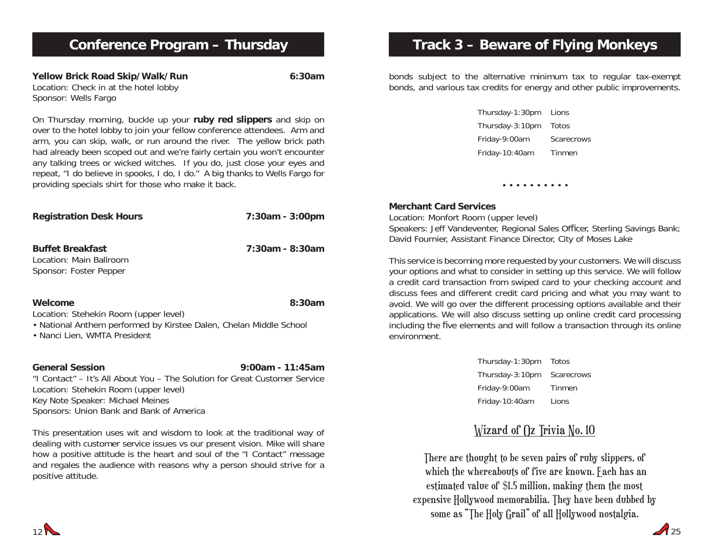**Yellow Brick Road Skip/Walk/Run 6:30am** Location: Check in at the hotel lobby Sponsor: Wells Fargo

On Thursday morning, buckle up your **ruby red slippers** and skip on over to the hotel lobby to join your fellow conference attendees. Arm and arm, you can skip, walk, or run around the river. The yellow brick path had already been scoped out and we're fairly certain you won't encounter any talking trees or wicked witches. If you do, just close your eyes and repeat, "I do believe in spooks, I do, I do." A big thanks to Wells Fargo for providing specials shirt for those who make it back.

| <b>Registration Desk Hours</b>                                                                     | 7:30am - 3:00pm |
|----------------------------------------------------------------------------------------------------|-----------------|
| <b>Buffet Breakfast</b><br>Location: Main Ballroom<br>Sponsor: Foster Pepper                       | 7:30am - 8:30am |
| Welcome<br>Location: Stehekin Room (upper level)                                                   | 8:30am          |
| • National Anthem performed by Kirstee Dalen, Chelan Middle School<br>• Nanci Lien, WMTA President |                 |

#### **General Session 9:00am - 11:45am**

"I Contact" – It's All About You – The Solution for Great Customer ServiceLocation: Stehekin Room (upper level) Key Note Speaker: Michael Meines Sponsors: Union Bank and Bank of America

This presentation uses wit and wisdom to look at the traditional way of dealing with customer service issues vs our present vision. Mike will share how a positive attitude is the heart and soul of the "I Contact" message and regales the audience with reasons why a person should strive for a positive attitude.

# **Track 3 – Beware of Flying Monkeys**

bonds subject to the alternative minimum tax to regular tax-exempt bonds, and various tax credits for energy and other public improvements.

> Thursday-1:30pm Lions Thursday-3:10pm Totos Friday-9:00am Scarecrows Friday-10:40am Tinmen

> > • • • • • • • • • •

#### **Merchant Card Services**

Location: Monfort Room (upper level)

Speakers: Jeff Vandeventer, Regional Sales Officer, Sterling Savings Bank; David Fournier, Assistant Finance Director, City of Moses Lake

This service is becoming more requested by your customers. We will discuss your options and what to consider in setting up this service. We will follow a credit card transaction from swiped card to your checking account and discuss fees and different credit card pricing and what you may want to avoid. We will go over the different processing options available and their applications. We will also discuss setting up online credit card processing including the five elements and will follow a transaction through its online environment.

| Thursday-1:30pm | Totos      |
|-----------------|------------|
| Thursday-3:10pm | Scarecrows |
| Friday-9:00am   | Tinmen     |
| Friday-10:40am  | Lions      |

## Wizard of Oz Trivia No. 10

There are thought to be seven pairs of ruby slippers, of which the whereabouts of five are known. Fach has an estimated value of \$1.5 million, making them the most expensive Hollywood memorabilia. They have been dubbed by some as "The Holy Grail" of all Hollywood nostalgia.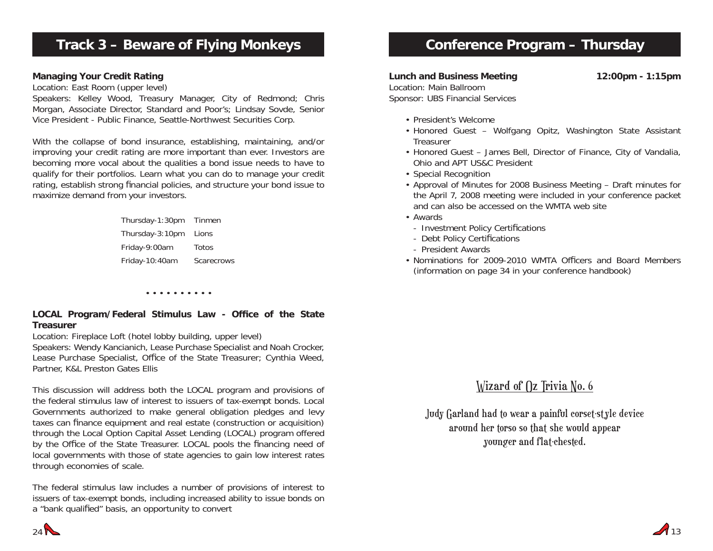## **Track 3 – Beware of Flying Monkeys**

#### **Managing Your Credit Rating**

Location: East Room (upper level)

Speakers: Kelley Wood, Treasury Manager, City of Redmond; Chris Morgan, Associate Director, Standard and Poor's; Lindsay Sovde, Senior Vice President - Public Finance, Seattle-Northwest Securities Corp.

With the collapse of bond insurance, establishing, maintaining, and/or improving your credit rating are more important than ever. Investors are becoming more vocal about the qualities a bond issue needs to have to qualify for their portfolios. Learn what you can do to manage your credit rating, establish strong financial policies, and structure your bond issue to maximize demand from your investors.

> Thursday-1:30pm Tinmen Thursday-3:10pm Lions Friday-9:00am Totos Friday-10:40am Scarecrows

> > • • • • • • • • • •

#### **LOCAL Program/Federal Stimulus Law - Office of the State Treasurer**

Location: Fireplace Loft (hotel lobby building, upper level)

Speakers: Wendy Kancianich, Lease Purchase Specialist and Noah Crocker, Lease Purchase Specialist, Office of the State Treasurer; Cynthia Weed, Partner, K&L Preston Gates Ellis

This discussion will address both the LOCAL program and provisions of the federal stimulus law of interest to issuers of tax-exempt bonds. Local Governments authorized to make general obligation pledges and levy taxes can finance equipment and real estate (construction or acquisition) through the Local Option Capital Asset Lending (LOCAL) program offered by the Office of the State Treasurer. LOCAL pools the financing need of local governments with those of state agencies to gain low interest rates through economies of scale.

The federal stimulus law includes a number of provisions of interest to issuers of tax-exempt bonds, including increased ability to issue bonds on a "bank qualified" basis, an opportunity to convert

## **Conference Program – Thursday**

**Lunch and Business Meeting 12:00pm - 1:15pm**

Sponsor: UBS Financial Services • President's Welcome

Location: Main Ballroom

- Honored Guest Wolfgang Opitz, Washington State Assistant **Treasurer**
- Honored Guest James Bell, Director of Finance, City of Vandalia, Ohio and APT US&C President
- Special Recognition
- Approval of Minutes for 2008 Business Meeting Draft minutes for the April 7, 2008 meeting were included in your conference packet and can also be accessed on the WMTA web site
- Awards
	- Investment Policy Certifications
- Debt Policy Certifications
- President Awards
- Nominations for 2009-2010 WMTA Officers and Board Members (information on page 34 in your conference handbook)

## Wizard of  $\int$ z Trivia No. 6

Judy Garland had to wear a painful corset-style device around her torso so that she would appear younger and flat-chested.

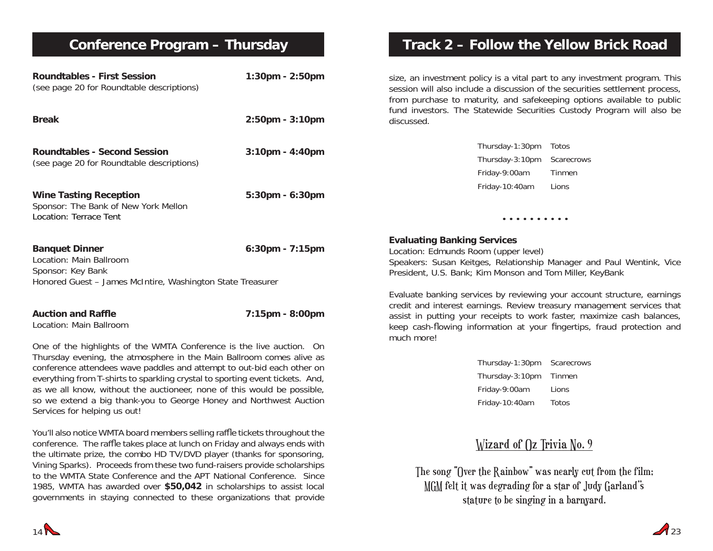## **Conference Program – Thursday**

| <b>Roundtables - First Session</b><br>(see page 20 for Roundtable descriptions)                                                                                                                                        | $1:30$ pm - $2:50$ pm | si:<br>SE<br>fr            |
|------------------------------------------------------------------------------------------------------------------------------------------------------------------------------------------------------------------------|-----------------------|----------------------------|
| <b>Break</b>                                                                                                                                                                                                           | 2:50pm - 3:10pm       | fu<br>di                   |
| <b>Roundtables - Second Session</b><br>(see page 20 for Roundtable descriptions)                                                                                                                                       | $3:10$ pm - $4:40$ pm |                            |
| <b>Wine Tasting Reception</b><br>Sponsor: The Bank of New York Mellon<br>Location: Terrace Tent                                                                                                                        | 5:30pm - 6:30pm       |                            |
| <b>Banquet Dinner</b><br>Location: Main Ballroom<br>Sponsor: Key Bank<br>Honored Guest - James McIntire, Washington State Treasurer                                                                                    | 6:30pm - 7:15pm       | E١<br>Lс<br>Sp<br>Pr<br>E١ |
| <b>Auction and Raffle</b><br>Location: Main Ballroom                                                                                                                                                                   | 7:15pm - 8:00pm       | cr<br>as<br>ke             |
| One of the highlights of the WMTA Conference is the live auction. On<br>Thursday evening, the atmosphere in the Main Ballroom comes alive as<br>conference attendees wave paddles and attempt to out-bid each other on |                       | m                          |

conference attendees wave paddles and attempt to out-bid each other on everything from T-shirts to sparkling crystal to sporting event tickets. And, as we all know, without the auctioneer, none of this would be possible, so we extend a big thank-you to George Honey and Northwest Auction Services for helping us out!

You'll also notice WMTA board members selling raffle tickets throughout the conference. The raffle takes place at lunch on Friday and always ends with the ultimate prize, the combo HD TV/DVD player (thanks for sponsoring, Vining Sparks). Proceeds from these two fund-raisers provide scholarships to the WMTA State Conference and the APT National Conference. Since 1985, WMTA has awarded over **\$50,042** in scholarships to assist local governments in staying connected to these organizations that provide

## **Track 2 – Follow the Yellow Brick Road**

ze, an investment policy is a vital part to any investment program. This ession will also include a discussion of the securities settlement process, from purchase to maturity, and safekeeping options available to public Ind investors. The Statewide Securities Custody Program will also be iscussed.

| Thursday-1:30pm | Totos      |
|-----------------|------------|
| Thursday-3:10pm | Scarecrows |
| Friday-9:00am   | Tinmen     |
| Friday-10:40am  | Lions      |

#### **Evaluating Banking Services**

ocation: Edmunds Room (upper level) peakers: Susan Keitges, Relationship Manager and Paul Wentink, Vice resident, U.S. Bank; Kim Monson and Tom Miller, KeyBank

• • • • • • • • • •

valuate banking services by reviewing your account structure, earnings redit and interest earnings. Review treasury management services that ssist in putting your receipts to work faster, maximize cash balances, eep cash-flowing information at your fingertips, fraud protection and much more!

| Thursday-1:30pm | Scarecrows |
|-----------------|------------|
| Thursday-3:10pm | Tinmen     |
| Friday-9:00am   | Lions      |
| Friday-10:40am  | Totos      |

## Wizard of  $\int$ z Trivia No. 9

The song "Over the Rainbow" was nearly cut from the film; MGM felt it was degrading for a star of Judy Garland''s stature to be singing in a barnyard.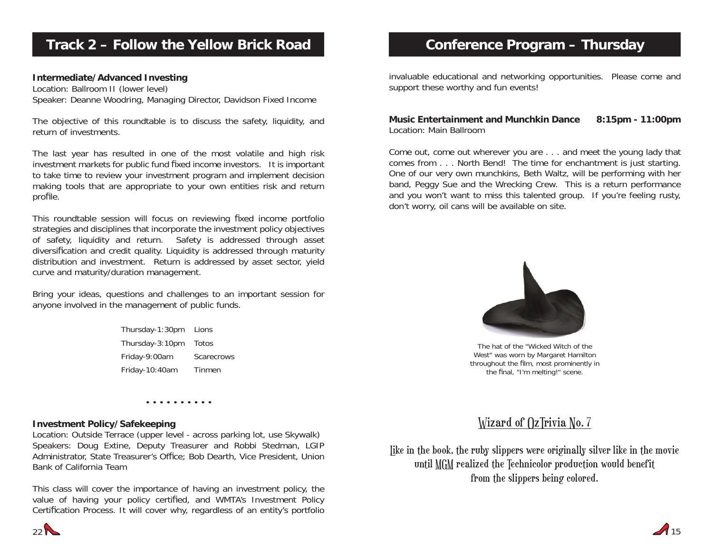## **Track 2 – Follow the Yellow Brick Road**

#### **Intermediate/Advanced Investing**

Location: Ballroom II (lower level) Speaker: Deanne Woodring, Managing Director, Davidson Fixed Income

The objective of this roundtable is to discuss the safety, liquidity, and return of investments.

The last year has resulted in one of the most volatile and high risk investment markets for public fund fixed income investors. It is important to take time to review your investment program and implement decision making tools that are appropriate to your own entities risk and return profile.

This roundtable session will focus on reviewing fixed income portfolio strategies and disciplines that incorporate the investment policy objectives of safety, liquidity and return. Safety is addressed through asset diversification and credit quality. Liquidity is addressed through maturity distribution and investment. Return is addressed by asset sector, yield curve and maturity/duration management.

Bring your ideas, questions and challenges to an important session for anyone involved in the management of public funds.

> Thursday-1:30pm Lions Thursday-3:10pm Totos Friday-9:00am Scarecrows Friday-10:40am Tinmen

> > • • • • • • • • • •

#### **Investment Policy/Safekeeping**

Location: Outside Terrace (upper level - across parking lot, use Skywalk) Speakers: Doug Extine, Deputy Treasurer and Robbi Stedman, LGIP Administrator, State Treasurer's Office; Bob Dearth, Vice President, Union Bank of California Team

This class will cover the importance of having an investment policy, the value of having your policy certified, and WMTA's Investment Policy Certification Process. It will cover why, regardless of an entity's portfolio

## **Conference Program – Thursday**

invaluable educational and networking opportunities. Please come and support these worthy and fun events!

#### **Music Entertainment and Munchkin Dance 8:15pm - 11:00pm** Location: Main Ballroom

Come out, come out wherever you are . . . and meet the young lady that comes from . . . North Bend! The time for enchantment is just starting. One of our very own munchkins, Beth Waltz, will be performing with her band, Peggy Sue and the Wrecking Crew. This is a return performance and you won't want to miss this talented group. If you're feeling rusty, don't worry, oil cans will be available on site.



The hat of the "Wicked Witch of the West" was worn by Margaret Hamilton throughout the film, most prominently in the final, "I'm melting!" scene.

### Wizard of OzTrivia No. 7

like in the book, the ruby slippers were originally silver like in the movie until MGM realized the Technicolor production would benefit from the slippers being colored.

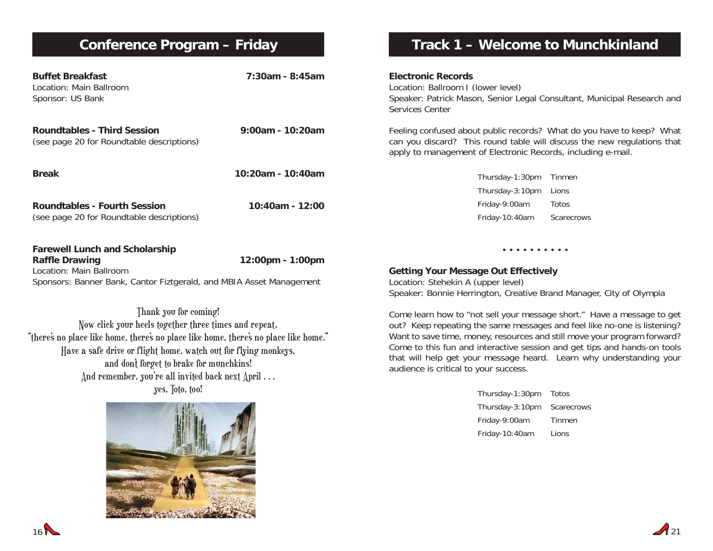# **Conference Program – Friday**

Have a safe drive or flight home, watch out for flying monkeys, and don't forget to brake for munchkins! And remember, you're all invited back next April ... yes, Toto, too!

| <b>Buffet Breakfast</b><br>Location: Main Ballroom<br>Sponsor: US Bank                                                                                                  | $7:30$ am - 8:45am | <b>Electronic Records</b><br>Location: Ballroom I (lower level)<br>Speaker: Patrick Mason, Senior Legal Consultant, Municipal Research and<br>Services Center                                                                  |            |  |
|-------------------------------------------------------------------------------------------------------------------------------------------------------------------------|--------------------|--------------------------------------------------------------------------------------------------------------------------------------------------------------------------------------------------------------------------------|------------|--|
| <b>Roundtables - Third Session</b><br>(see page 20 for Roundtable descriptions)                                                                                         | 9:00am - 10:20am   | Feeling confused about public records? What do you have to keep? What<br>can you discard? This round table will discuss the new regulations that<br>apply to management of Electronic Records, including e-mail.               |            |  |
| <b>Break</b>                                                                                                                                                            | 10:20am - 10:40am  | Thursday-1:30pm                                                                                                                                                                                                                | Tinmen     |  |
|                                                                                                                                                                         |                    | Thursday-3:10pm                                                                                                                                                                                                                | Lions      |  |
| <b>Roundtables - Fourth Session</b>                                                                                                                                     | 10:40am - 12:00    | Friday-9:00am                                                                                                                                                                                                                  | Totos      |  |
| (see page 20 for Roundtable descriptions)                                                                                                                               |                    | Friday-10:40am                                                                                                                                                                                                                 | Scarecrows |  |
| <b>Farewell Lunch and Scholarship</b><br><b>Raffle Drawing</b>                                                                                                          | 12:00pm - 1:00pm   | .                                                                                                                                                                                                                              |            |  |
| Location: Main Ballroom                                                                                                                                                 |                    | <b>Getting Your Message Out Effectively</b>                                                                                                                                                                                    |            |  |
| Sponsors: Banner Bank, Cantor Fiztgerald, and MBIA Asset Management                                                                                                     |                    | Location: Stehekin A (upper level)                                                                                                                                                                                             |            |  |
|                                                                                                                                                                         |                    | Speaker: Bonnie Herrington, Creative Brand Manager, City of Olympia                                                                                                                                                            |            |  |
| Thank you for coming!<br>Now click your heels together three times and repeat.<br>"there's no place like home, there's no place like home, there's no place like home." |                    | Come learn how to "not sell your message short." Have a message to get<br>out? Keep repeating the same messages and feel like no-one is listening?<br>Want to save time, money, resources and still move your program forward? |            |  |

 $\mathcal{A}_{21}$ 

Come to this fun and interactive session and get tips and hands-on tools that will help get your message heard. Learn why understanding your

**Track 1 – Welcome to Munchkinland**

Thursday-1:30pm Totos Thursday-3:10pm Scarecrows Friday-9:00am Tinmen Friday-10:40am Lions

audience is critical to your success.

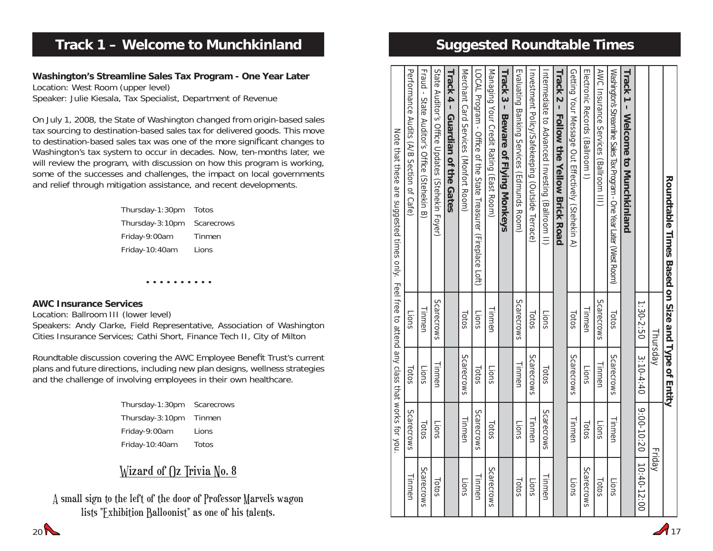| Roundraple Times Based on Size and Type of Entity                                                                         |            |               |            |               |
|---------------------------------------------------------------------------------------------------------------------------|------------|---------------|------------|---------------|
|                                                                                                                           | Thursday   |               |            | Friday        |
|                                                                                                                           | 1:30-2:50  | $3:10-4:40$   | 9:00-10:20 | $10:40-12:00$ |
| Track <sub>1</sub><br>- Melcome to Munchkinland                                                                           |            |               |            |               |
| Washington's Streamline Sales Tax Program - One Year Later (West Room)                                                    | Totos      | Scarecrows    | Tinmen     | Lions         |
| AWC Insurance Services (Ballroom III)                                                                                     | Scarecrows | Tinmen        | Lions      | Totos         |
| Llectronic Records (Ballroom 1)                                                                                           | Tinmen     | Lions         | Totos      | Scarecrows    |
| Getting Your Message Out Effectively (Stehekin A)                                                                         | Totos      | Scarecrows    | Tinmen     | Lions         |
| <b>Linux 30 + Follow the Yellow Brick Road</b>                                                                            |            |               |            |               |
| Intermediate to Advanced Investing (Ballroom II)                                                                          | Lions      | Totos         | Scarecrows | Tinmen        |
| Investment Policy/Safekeeping (Outside Terrace)                                                                           | Totos      | Scarecrows    | Tinmen     | Lions         |
| Evaluating Banking Services (Edmunds Room)                                                                                | Scarecrows | <b>Iinmen</b> | Lions      | Totos         |
| Track 3 - Beware of Flying Monkeys                                                                                        |            |               |            |               |
| Managing Your Credit Rating (East Room)                                                                                   | linmen     | Lions         | Totos      | Scarecrows    |
| LOCAL Program - Office of the State Treasurer (Hireplace Lot)                                                             | Lions      | Totos         | Scarecrows | linmen        |
| Merchant Card Services (Nonether Room)                                                                                    | Totos      | Scarecrows    | I inmen    | Lions         |
| Track 4 – Guardian of the Gates                                                                                           |            |               |            |               |
| State Auditor's Office Updates (Stehekin Foyer)                                                                           | Scarecrows | <b>Tinmen</b> | Lions      | Totos         |
| Fraud - State Auditor's Office (Steppekin B)                                                                              | Tinmen     | Lions         | Totos      | Scarecrows    |
| Periormance Audits (A/B Section of Cafe)                                                                                  | Lions      | Totos         | Scarecrows | Tinmen        |
| Note that these a residence at the service of the figure of the figure of the second struct profer that the sequence that |            |               |            |               |

**Suggested Roundtable Times**

 $\sqrt{17}$ 

## **Track 1 – Welcome to Munchkinland**

#### **Washington's Streamline Sales Tax Program - One Year Later** Location: West Room (upper level) Speaker: Julie Kiesala, Tax Specialist, Department of Revenue

On July 1, 2008, the State of Washington changed from origin-based sales tax sourcing to destination-based sales tax for delivered goods. This move to destination-based sales tax was one of the more significant changes to Washington's tax system to occur in decades. Now, ten-months later, we will review the program, with discussion on how this program is working, some of the successes and challenges, the impact on local governments and relief through mitigation assistance, and recent developments.

| Thursday-1:30pm | Totos      |
|-----------------|------------|
| Thursday-3:10pm | Scarecrows |
| Friday-9:00am   | Tinmen     |
| Friday-10:40am  | Lions      |

#### **AWC Insurance Services**

Location: Ballroom III (lower level)

Speakers: Andy Clarke, Field Representative, Association of Washington Cities Insurance Services; Cathi Short, Finance Tech II, City of Milton

• • • • • • • • • •

Roundtable discussion covering the AWC Employee Benefit Trust's current plans and future directions, including new plan designs, wellness strategies and the challenge of involving employees in their own healthcare.

> Thursday-1:30pm Scarecrows Thursday-3:10pm Tinmen Friday-9:00am Lions Friday-10:40am Totos

## Wizard of  $\int$ z Trivia No. 8

A small sign to the left of the door of Professor Marvel's wagon lists "Exhibition Balloonist" as one of his talents.